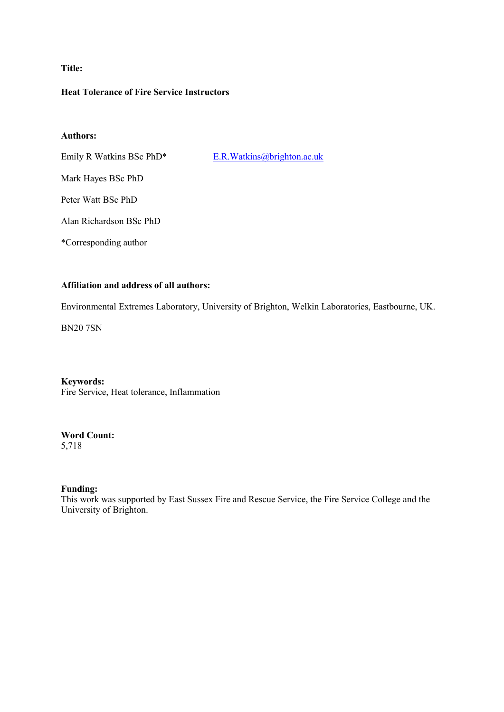# **Title:**

## **Heat Tolerance of Fire Service Instructors**

## **Authors:**

Emily R Watkins BSc PhD\* E.R.Watkins@brighton.ac.uk

Mark Hayes BSc PhD

Peter Watt BSc PhD

Alan Richardson BSc PhD

\*Corresponding author

# **Affiliation and address of all authors:**

Environmental Extremes Laboratory, University of Brighton, Welkin Laboratories, Eastbourne, UK.

BN20 7SN

**Keywords:** Fire Service, Heat tolerance, Inflammation

# **Word Count:**

5,718

## **Funding:**

This work was supported by East Sussex Fire and Rescue Service, the Fire Service College and the University of Brighton.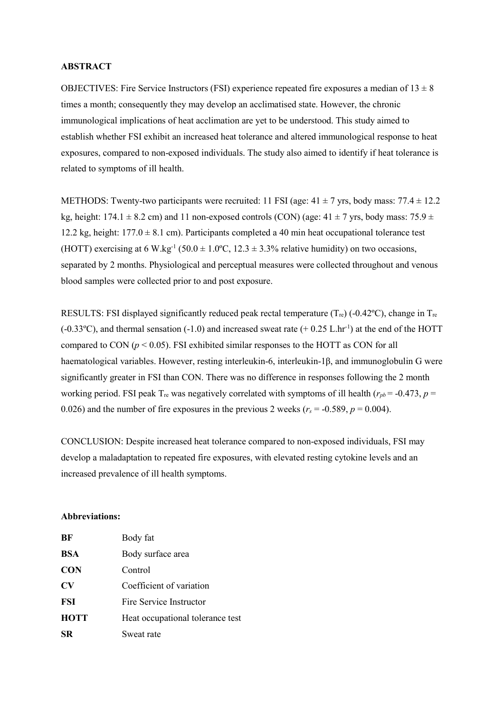### **ABSTRACT**

OBJECTIVES: Fire Service Instructors (FSI) experience repeated fire exposures a median of  $13 \pm 8$ times a month; consequently they may develop an acclimatised state. However, the chronic immunological implications of heat acclimation are yet to be understood. This study aimed to establish whether FSI exhibit an increased heat tolerance and altered immunological response to heat exposures, compared to non-exposed individuals. The study also aimed to identify if heat tolerance is related to symptoms of ill health.

METHODS: Twenty-two participants were recruited: 11 FSI (age:  $41 \pm 7$  yrs, body mass: 77.4  $\pm$  12.2 kg, height: 174.1  $\pm$  8.2 cm) and 11 non-exposed controls (CON) (age: 41  $\pm$  7 yrs, body mass: 75.9  $\pm$ 12.2 kg, height:  $177.0 \pm 8.1$  cm). Participants completed a 40 min heat occupational tolerance test (HOTT) exercising at 6 W.kg<sup>-1</sup> (50.0  $\pm$  1.0°C, 12.3  $\pm$  3.3% relative humidity) on two occasions, separated by 2 months. Physiological and perceptual measures were collected throughout and venous blood samples were collected prior to and post exposure.

RESULTS: FSI displayed significantly reduced peak rectal temperature  $(T_{\text{re}})$  (-0.42°C), change in T<sub>re</sub>  $(-0.33^{\circ}C)$ , and thermal sensation  $(-1.0)$  and increased sweat rate  $(+ 0.25 L/hr^{-1})$  at the end of the HOTT compared to CON ( $p < 0.05$ ). FSI exhibited similar responses to the HOTT as CON for all haematological variables. However, resting interleukin-6, interleukin-1β, and immunoglobulin G were significantly greater in FSI than CON. There was no difference in responses following the 2 month working period. FSI peak  $T_{\text{re}}$  was negatively correlated with symptoms of ill health ( $r_{pb}$  = -0.473, *p* = 0.026) and the number of fire exposures in the previous 2 weeks  $(r_s = -0.589, p = 0.004)$ .

CONCLUSION: Despite increased heat tolerance compared to non-exposed individuals, FSI may develop a maladaptation to repeated fire exposures, with elevated resting cytokine levels and an increased prevalence of ill health symptoms.

## **Abbreviations:**

| BF          | Body fat                         |
|-------------|----------------------------------|
| <b>BSA</b>  | Body surface area                |
| <b>CON</b>  | Control                          |
| $\bf{CV}$   | Coefficient of variation         |
| FSI         | Fire Service Instructor          |
| <b>HOTT</b> | Heat occupational tolerance test |
| SR          | Sweat rate                       |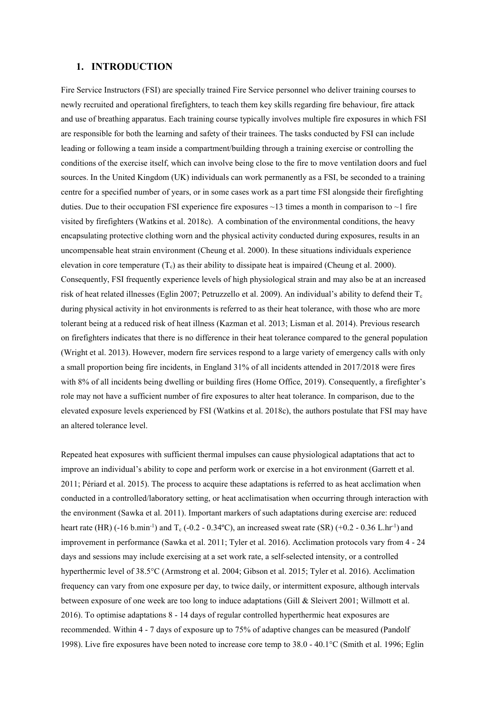## **1. INTRODUCTION**

Fire Service Instructors (FSI) are specially trained Fire Service personnel who deliver training courses to newly recruited and operational firefighters, to teach them key skills regarding fire behaviour, fire attack and use of breathing apparatus. Each training course typically involves multiple fire exposures in which FSI are responsible for both the learning and safety of their trainees. The tasks conducted by FSI can include leading or following a team inside a compartment/building through a training exercise or controlling the conditions of the exercise itself, which can involve being close to the fire to move ventilation doors and fuel sources. In the United Kingdom (UK) individuals can work permanently as a FSI, be seconded to a training centre for a specified number of years, or in some cases work as a part time FSI alongside their firefighting duties. Due to their occupation FSI experience fire exposures  $\sim$ 13 times a month in comparison to  $\sim$ 1 fire visited by firefighters (Watkins et al. 2018c). A combination of the environmental conditions, the heavy encapsulating protective clothing worn and the physical activity conducted during exposures, results in an uncompensable heat strain environment (Cheung et al. 2000). In these situations individuals experience elevation in core temperature  $(T_c)$  as their ability to dissipate heat is impaired (Cheung et al. 2000). Consequently, FSI frequently experience levels of high physiological strain and may also be at an increased risk of heat related illnesses (Eglin 2007; Petruzzello et al. 2009). An individual's ability to defend their  $T_c$ during physical activity in hot environments is referred to as their heat tolerance, with those who are more tolerant being at a reduced risk of heat illness (Kazman et al. 2013; Lisman et al. 2014). Previous research on firefighters indicates that there is no difference in their heat tolerance compared to the general population (Wright et al. 2013). However, modern fire services respond to a large variety of emergency calls with only a small proportion being fire incidents, in England 31% of all incidents attended in 2017/2018 were fires with 8% of all incidents being dwelling or building fires (Home Office, 2019). Consequently, a firefighter's role may not have a sufficient number of fire exposures to alter heat tolerance. In comparison, due to the elevated exposure levels experienced by FSI (Watkins et al. 2018c), the authors postulate that FSI may have an altered tolerance level.

Repeated heat exposures with sufficient thermal impulses can cause physiological adaptations that act to improve an individual's ability to cope and perform work or exercise in a hot environment (Garrett et al. 2011; Périard et al. 2015). The process to acquire these adaptations is referred to as heat acclimation when conducted in a controlled/laboratory setting, or heat acclimatisation when occurring through interaction with the environment (Sawka et al. 2011). Important markers of such adaptations during exercise are: reduced heart rate (HR)  $(-16 \text{ b.min}^{-1})$  and T<sub>c</sub>  $(-0.2 - 0.34^{\circ}\text{C})$ , an increased sweat rate (SR)  $(+0.2 - 0.36 \text{ L/hr}^{-1})$  and improvement in performance (Sawka et al. 2011; Tyler et al. 2016). Acclimation protocols vary from 4 - 24 days and sessions may include exercising at a set work rate, a self-selected intensity, or a controlled hyperthermic level of 38.5°C (Armstrong et al. 2004; Gibson et al. 2015; Tyler et al. 2016). Acclimation frequency can vary from one exposure per day, to twice daily, or intermittent exposure, although intervals between exposure of one week are too long to induce adaptations (Gill & Sleivert 2001; Willmott et al. 2016). To optimise adaptations 8 - 14 days of regular controlled hyperthermic heat exposures are recommended. Within 4 - 7 days of exposure up to 75% of adaptive changes can be measured (Pandolf 1998). Live fire exposures have been noted to increase core temp to 38.0 - 40.1°C (Smith et al. 1996; Eglin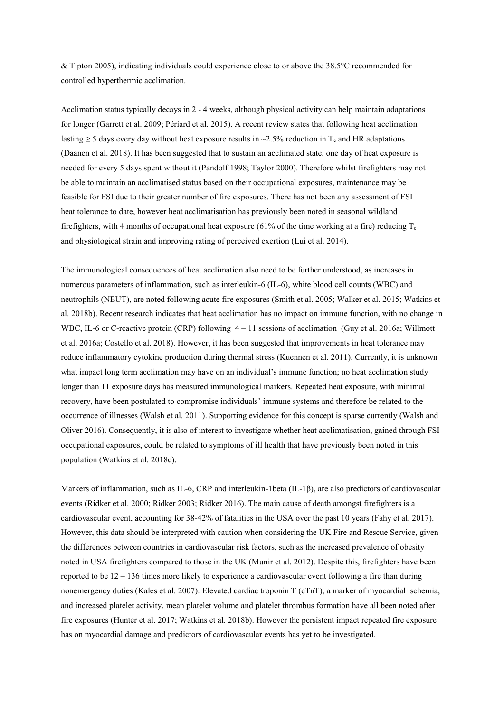& Tipton 2005), indicating individuals could experience close to or above the 38.5°C recommended for controlled hyperthermic acclimation.

Acclimation status typically decays in 2 - 4 weeks, although physical activity can help maintain adaptations for longer (Garrett et al. 2009; Périard et al. 2015). A recent review states that following heat acclimation lasting  $\geq$  5 days every day without heat exposure results in ~2.5% reduction in T<sub>c</sub> and HR adaptations (Daanen et al. 2018). It has been suggested that to sustain an acclimated state, one day of heat exposure is needed for every 5 days spent without it (Pandolf 1998; Taylor 2000). Therefore whilst firefighters may not be able to maintain an acclimatised status based on their occupational exposures, maintenance may be feasible for FSI due to their greater number of fire exposures. There has not been any assessment of FSI heat tolerance to date, however heat acclimatisation has previously been noted in seasonal wildland firefighters, with 4 months of occupational heat exposure (61% of the time working at a fire) reducing  $T_c$ and physiological strain and improving rating of perceived exertion (Lui et al. 2014).

The immunological consequences of heat acclimation also need to be further understood, as increases in numerous parameters of inflammation, such as interleukin-6 (IL-6), white blood cell counts (WBC) and neutrophils (NEUT), are noted following acute fire exposures (Smith et al. 2005; Walker et al. 2015; Watkins et al. 2018b). Recent research indicates that heat acclimation has no impact on immune function, with no change in WBC, IL-6 or C-reactive protein (CRP) following  $4 - 11$  sessions of acclimation (Guy et al. 2016a; Willmott et al. 2016a; Costello et al. 2018). However, it has been suggested that improvements in heat tolerance may reduce inflammatory cytokine production during thermal stress (Kuennen et al. 2011). Currently, it is unknown what impact long term acclimation may have on an individual's immune function; no heat acclimation study longer than 11 exposure days has measured immunological markers. Repeated heat exposure, with minimal recovery, have been postulated to compromise individuals' immune systems and therefore be related to the occurrence of illnesses (Walsh et al. 2011). Supporting evidence for this concept is sparse currently (Walsh and Oliver 2016). Consequently, it is also of interest to investigate whether heat acclimatisation, gained through FSI occupational exposures, could be related to symptoms of ill health that have previously been noted in this population (Watkins et al. 2018c).

Markers of inflammation, such as IL-6, CRP and interleukin-1beta (IL-1β), are also predictors of cardiovascular events (Ridker et al. 2000; Ridker 2003; Ridker 2016). The main cause of death amongst firefighters is a cardiovascular event, accounting for 38-42% of fatalities in the USA over the past 10 years (Fahy et al. 2017). However, this data should be interpreted with caution when considering the UK Fire and Rescue Service, given the differences between countries in cardiovascular risk factors, such as the increased prevalence of obesity noted in USA firefighters compared to those in the UK (Munir et al. 2012). Despite this, firefighters have been reported to be 12 – 136 times more likely to experience a cardiovascular event following a fire than during nonemergency duties (Kales et al. 2007). Elevated cardiac troponin T (cTnT), a marker of myocardial ischemia, and increased platelet activity, mean platelet volume and platelet thrombus formation have all been noted after fire exposures (Hunter et al. 2017; Watkins et al. 2018b). However the persistent impact repeated fire exposure has on myocardial damage and predictors of cardiovascular events has yet to be investigated.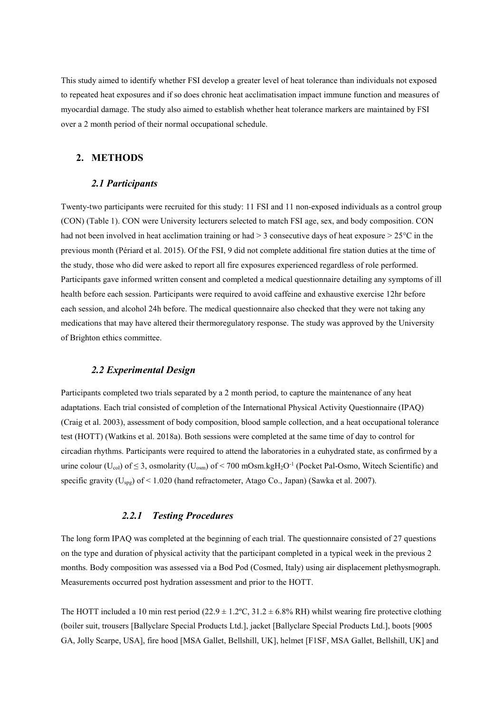This study aimed to identify whether FSI develop a greater level of heat tolerance than individuals not exposed to repeated heat exposures and if so does chronic heat acclimatisation impact immune function and measures of myocardial damage. The study also aimed to establish whether heat tolerance markers are maintained by FSI over a 2 month period of their normal occupational schedule.

## **2. METHODS**

## *2.1 Participants*

Twenty-two participants were recruited for this study: 11 FSI and 11 non-exposed individuals as a control group (CON) (Table 1). CON were University lecturers selected to match FSI age, sex, and body composition. CON had not been involved in heat acclimation training or had  $> 3$  consecutive days of heat exposure  $> 25^{\circ}$ C in the previous month (Périard et al. 2015). Of the FSI, 9 did not complete additional fire station duties at the time of the study, those who did were asked to report all fire exposures experienced regardless of role performed. Participants gave informed written consent and completed a medical questionnaire detailing any symptoms of ill health before each session. Participants were required to avoid caffeine and exhaustive exercise 12hr before each session, and alcohol 24h before. The medical questionnaire also checked that they were not taking any medications that may have altered their thermoregulatory response. The study was approved by the University of Brighton ethics committee.

### *2.2 Experimental Design*

Participants completed two trials separated by a 2 month period, to capture the maintenance of any heat adaptations. Each trial consisted of completion of the International Physical Activity Questionnaire (IPAQ) (Craig et al. 2003), assessment of body composition, blood sample collection, and a heat occupational tolerance test (HOTT) (Watkins et al. 2018a). Both sessions were completed at the same time of day to control for circadian rhythms. Participants were required to attend the laboratories in a euhydrated state, as confirmed by a urine colour (U<sub>col</sub>) of  $\leq$  3, osmolarity (U<sub>osm</sub>) of < 700 mOsm.kgH<sub>2</sub>O<sup>-1</sup> (Pocket Pal-Osmo, Witech Scientific) and specific gravity (U<sub>spg</sub>) of < 1.020 (hand refractometer, Atago Co., Japan) (Sawka et al. 2007).

### *2.2.1 Testing Procedures*

The long form IPAQ was completed at the beginning of each trial. The questionnaire consisted of 27 questions on the type and duration of physical activity that the participant completed in a typical week in the previous 2 months. Body composition was assessed via a Bod Pod (Cosmed, Italy) using air displacement plethysmograph. Measurements occurred post hydration assessment and prior to the HOTT.

The HOTT included a 10 min rest period (22.9  $\pm$  1.2°C, 31.2  $\pm$  6.8% RH) whilst wearing fire protective clothing (boiler suit, trousers [Ballyclare Special Products Ltd.], jacket [Ballyclare Special Products Ltd.], boots [9005 GA, Jolly Scarpe, USA], fire hood [MSA Gallet, Bellshill, UK], helmet [F1SF, MSA Gallet, Bellshill, UK] and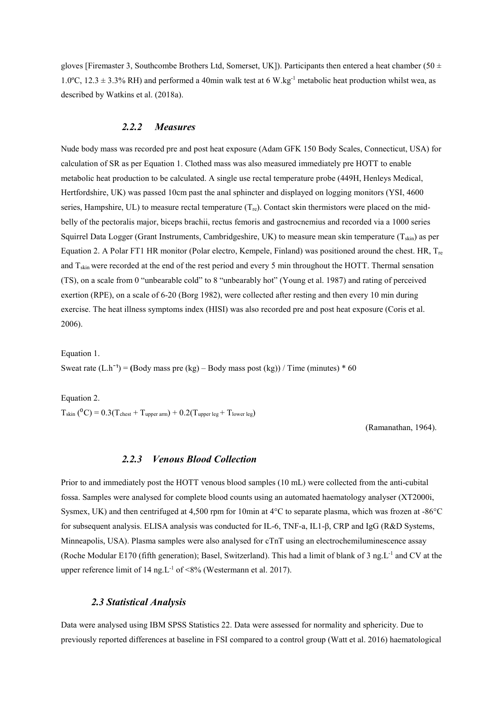gloves [Firemaster 3, Southcombe Brothers Ltd, Somerset, UK]). Participants then entered a heat chamber (50  $\pm$ 1.0°C, 12.3  $\pm$  3.3% RH) and performed a 40min walk test at 6 W.kg<sup>-1</sup> metabolic heat production whilst wea, as described by Watkins et al. (2018a).

## *2.2.2 Measures*

Nude body mass was recorded pre and post heat exposure (Adam GFK 150 Body Scales, Connecticut, USA) for calculation of SR as per Equation 1. Clothed mass was also measured immediately pre HOTT to enable metabolic heat production to be calculated. A single use rectal temperature probe (449H, Henleys Medical, Hertfordshire, UK) was passed 10cm past the anal sphincter and displayed on logging monitors (YSI, 4600 series, Hampshire, UL) to measure rectal temperature  $(T_{re})$ . Contact skin thermistors were placed on the midbelly of the pectoralis major, biceps brachii, rectus femoris and gastrocnemius and recorded via a 1000 series Squirrel Data Logger (Grant Instruments, Cambridgeshire, UK) to measure mean skin temperature ( $T_{\rm skin}$ ) as per Equation 2. A Polar FT1 HR monitor (Polar electro, Kempele, Finland) was positioned around the chest. HR,  $T_{re}$ and  $T_{\text{skin}}$  were recorded at the end of the rest period and every 5 min throughout the HOTT. Thermal sensation (TS), on a scale from 0 "unbearable cold" to 8 "unbearably hot" (Young et al. 1987) and rating of perceived exertion (RPE), on a scale of 6-20 (Borg 1982), were collected after resting and then every 10 min during exercise. The heat illness symptoms index (HISI) was also recorded pre and post heat exposure (Coris et al. 2006).

Equation 1.

Sweat rate  $(L.h^{-1}) = (Body mass pre (kg) – Body mass post (kg)) / Time (minutes) * 60$ 

Equation 2.  $T_{\text{skin}}({}^{0}C) = 0.3(T_{\text{check}} + T_{\text{upper arm}}) + 0.2(T_{\text{upper leg}} + T_{\text{lower leg}})$ 

(Ramanathan, 1964).

## *2.2.3 Venous Blood Collection*

Prior to and immediately post the HOTT venous blood samples (10 mL) were collected from the anti-cubital fossa. Samples were analysed for complete blood counts using an automated haematology analyser (XT2000i, Sysmex, UK) and then centrifuged at 4,500 rpm for 10min at 4°C to separate plasma, which was frozen at -86°C for subsequent analysis. ELISA analysis was conducted for IL-6, TNF-a, IL1-β, CRP and IgG (R&D Systems, Minneapolis, USA). Plasma samples were also analysed for cTnT using an electrochemiluminescence assay (Roche Modular E170 (fifth generation); Basel, Switzerland). This had a limit of blank of 3 ng.L<sup>-1</sup> and CV at the upper reference limit of 14 ng.  $L^{-1}$  of <8% (Westermann et al. 2017).

#### *2.3 Statistical Analysis*

Data were analysed using IBM SPSS Statistics 22. Data were assessed for normality and sphericity. Due to previously reported differences at baseline in FSI compared to a control group (Watt et al. 2016) haematological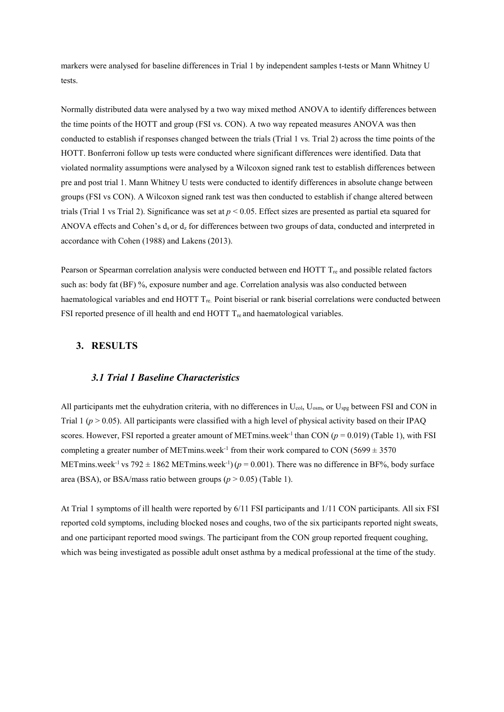markers were analysed for baseline differences in Trial 1 by independent samples t-tests or Mann Whitney U tests.

Normally distributed data were analysed by a two way mixed method ANOVA to identify differences between the time points of the HOTT and group (FSI vs. CON). A two way repeated measures ANOVA was then conducted to establish if responses changed between the trials (Trial 1 vs. Trial 2) across the time points of the HOTT. Bonferroni follow up tests were conducted where significant differences were identified. Data that violated normality assumptions were analysed by a Wilcoxon signed rank test to establish differences between pre and post trial 1. Mann Whitney U tests were conducted to identify differences in absolute change between groups (FSI vs CON). A Wilcoxon signed rank test was then conducted to establish if change altered between trials (Trial 1 vs Trial 2). Significance was set at  $p < 0.05$ . Effect sizes are presented as partial eta squared for ANOVA effects and Cohen's d<sub>s</sub> or d<sub>z</sub> for differences between two groups of data, conducted and interpreted in accordance with Cohen (1988) and Lakens (2013).

Pearson or Spearman correlation analysis were conducted between end HOTT  $T_{\text{re}}$  and possible related factors such as: body fat (BF) %, exposure number and age. Correlation analysis was also conducted between haematological variables and end HOTT  $T_{\text{re}}$ . Point biserial or rank biserial correlations were conducted between FSI reported presence of ill health and end HOTT  $T_{re}$  and haematological variables.

### **3. RESULTS**

### *3.1 Trial 1 Baseline Characteristics*

All participants met the euhydration criteria, with no differences in  $U_{col}$ ,  $U_{osm}$ , or  $U_{spg}$  between FSI and CON in Trial 1 ( $p > 0.05$ ). All participants were classified with a high level of physical activity based on their IPAQ scores. However, FSI reported a greater amount of METmins.week<sup>-1</sup> than CON ( $p = 0.019$ ) (Table 1), with FSI completing a greater number of METmins.week<sup>-1</sup> from their work compared to CON (5699  $\pm$  3570 METmins.week<sup>-1</sup> vs 792  $\pm$  1862 METmins.week<sup>-1</sup>) ( $p = 0.001$ ). There was no difference in BF%, body surface area (BSA), or BSA/mass ratio between groups ( $p > 0.05$ ) (Table 1).

At Trial 1 symptoms of ill health were reported by 6/11 FSI participants and 1/11 CON participants. All six FSI reported cold symptoms, including blocked noses and coughs, two of the six participants reported night sweats, and one participant reported mood swings. The participant from the CON group reported frequent coughing, which was being investigated as possible adult onset asthma by a medical professional at the time of the study.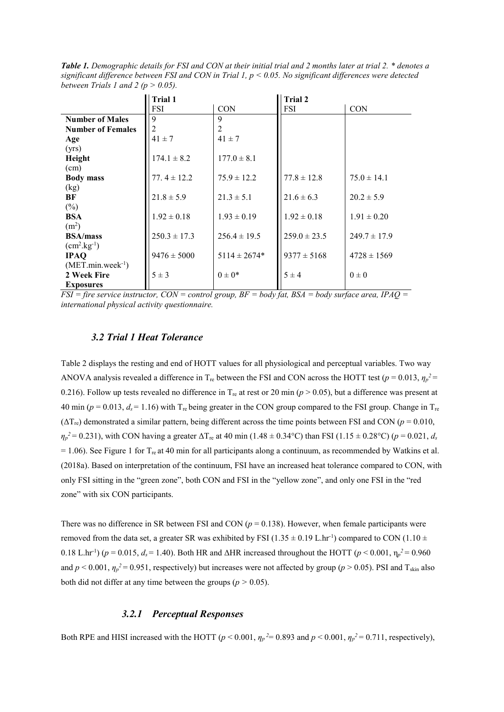<span id="page-7-0"></span>*Table 1. Demographic details for FSI and CON at their initial trial and 2 months later at trial 2. \* denotes a significant difference between FSI and CON in Trial 1, p < 0.05. No significant differences were detected between Trials 1 and 2 (p > 0.05).*

|                          | Trial 1          |                  | Trial 2          |                  |  |  |
|--------------------------|------------------|------------------|------------------|------------------|--|--|
|                          | <b>FSI</b>       | <b>CON</b>       | <b>FSI</b>       | <b>CON</b>       |  |  |
| <b>Number of Males</b>   | $\mathbf Q$      | 9                |                  |                  |  |  |
| <b>Number of Females</b> | $\overline{2}$   | 2                |                  |                  |  |  |
| Age                      | $41 \pm 7$       | $41 \pm 7$       |                  |                  |  |  |
| (yrs)                    |                  |                  |                  |                  |  |  |
| Height                   | $174.1 \pm 8.2$  | $177.0 \pm 8.1$  |                  |                  |  |  |
| (cm)                     |                  |                  |                  |                  |  |  |
| <b>Body mass</b>         | 77. $4 \pm 12.2$ | $75.9 \pm 12.2$  | $77.8 \pm 12.8$  | $75.0 \pm 14.1$  |  |  |
| (kg)                     |                  |                  |                  |                  |  |  |
| BF                       | $21.8 \pm 5.9$   | $21.3 \pm 5.1$   | $21.6 \pm 6.3$   | $20.2 \pm 5.9$   |  |  |
| $(\%)$                   |                  |                  |                  |                  |  |  |
| <b>BSA</b>               | $1.92 \pm 0.18$  | $1.93 \pm 0.19$  | $1.92 \pm 0.18$  | $1.91 \pm 0.20$  |  |  |
| (m <sup>2</sup> )        |                  |                  |                  |                  |  |  |
| <b>BSA/mass</b>          | $250.3 \pm 17.3$ | $256.4 \pm 19.5$ | $259.0 \pm 23.5$ | $249.7 \pm 17.9$ |  |  |
| $(cm^2.kg^{-1})$         |                  |                  |                  |                  |  |  |
| <b>IPAQ</b>              | $9476 \pm 5000$  | $5114 \pm 2674*$ | $9377 \pm 5168$  | $4728 \pm 1569$  |  |  |
| $(MET.min.week-1)$       |                  |                  |                  |                  |  |  |
| 2 Week Fire              | $5 \pm 3$        | $0 \pm 0^*$      | $5 \pm 4$        | $0\pm 0$         |  |  |
| <b>Exposures</b>         |                  |                  |                  |                  |  |  |

*FSI = fire service instructor, CON = control group, BF = body fat, BSA = body surface area, IPAQ = international physical activity questionnaire.* 

### *3.2 Trial 1 Heat Tolerance*

Table 2 displays the resting and end of HOTT values for all physiological and perceptual variables. Two way ANOVA analysis revealed a difference in T<sub>re</sub> between the FSI and CON across the HOTT test ( $p = 0.013$ ,  $\eta_p^2 =$ 0.216). Follow up tests revealed no difference in  $T_{\text{re}}$  at rest or 20 min ( $p > 0.05$ ), but a difference was present at 40 min ( $p = 0.013$ ,  $d_s = 1.16$ ) with T<sub>re</sub> being greater in the CON group compared to the FSI group. Change in T<sub>re</sub>  $(\Delta T_{\rm re})$  demonstrated a similar pattern, being different across the time points between FSI and CON ( $p = 0.010$ ,  $\eta_p^2$  = 0.231), with CON having a greater  $\Delta T_{\rm re}$  at 40 min (1.48  $\pm$  0.34°C) than FSI (1.15  $\pm$  0.28°C) (*p* = 0.021, *ds*  $= 1.06$ ). See Figure 1 for T<sub>re</sub> at 40 min for all participants along a continuum, as recommended by Watkins et al. (2018a). Based on interpretation of the continuum, FSI have an increased heat tolerance compared to CON, with only FSI sitting in the "green zone", both CON and FSI in the "yellow zone", and only one FSI in the "red zone" with six CON participants.

There was no difference in SR between FSI and CON ( $p = 0.138$ ). However, when female participants were removed from the data set, a greater SR was exhibited by FSI ( $1.35 \pm 0.19$  L.hr<sup>-1</sup>) compared to CON ( $1.10 \pm$ 0.18 L.hr<sup>-1</sup>) (*p* = 0.015, *d<sub>s</sub>* = 1.40). Both HR and ΔHR increased throughout the HOTT (*p* < 0.001,  $η<sub>p</sub><sup>2</sup> = 0.960$ and  $p < 0.001$ ,  $\eta_p^2 = 0.951$ , respectively) but increases were not affected by group ( $p > 0.05$ ). PSI and T<sub>skin</sub> also both did not differ at any time between the groups ( $p > 0.05$ ).

### *3.2.1 Perceptual Responses*

Both RPE and HISI increased with the HOTT ( $p < 0.001$ ,  $\eta_p^2 = 0.893$  and  $p < 0.001$ ,  $\eta_p^2 = 0.711$ , respectively),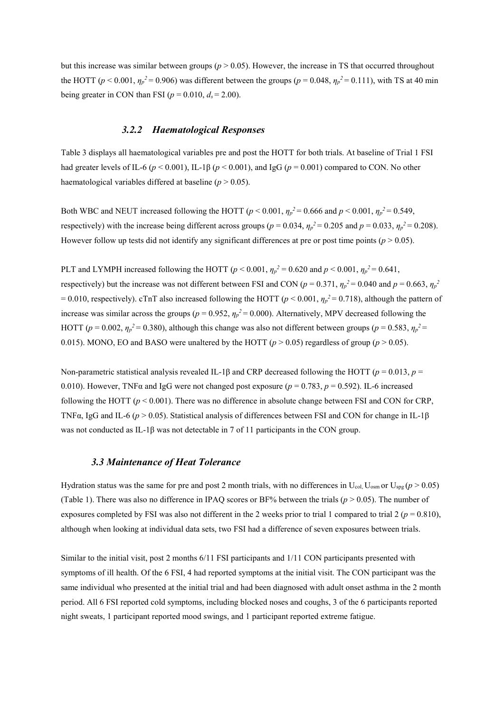but this increase was similar between groups ( $p > 0.05$ ). However, the increase in TS that occurred throughout the HOTT ( $p < 0.001$ ,  $\eta_p^2 = 0.906$ ) was different between the groups ( $p = 0.048$ ,  $\eta_p^2 = 0.111$ ), with TS at 40 min being greater in CON than FSI ( $p = 0.010$ ,  $d_s = 2.00$ ).

#### *3.2.2 Haematological Responses*

Table 3 displays all haematological variables pre and post the HOTT for both trials. At baseline of Trial 1 FSI had greater levels of IL-6 (*p* < 0.001), IL-1β (*p* < 0.001), and IgG (*p* = 0.001) compared to CON. No other haematological variables differed at baseline  $(p > 0.05)$ .

Both WBC and NEUT increased following the HOTT ( $p < 0.001$ ,  $\eta_p^2 = 0.666$  and  $p < 0.001$ ,  $\eta_p^2 = 0.549$ , respectively) with the increase being different across groups ( $p = 0.034$ ,  $\eta_p^2 = 0.205$  and  $p = 0.033$ ,  $\eta_p^2 = 0.208$ ). However follow up tests did not identify any significant differences at pre or post time points ( $p > 0.05$ ).

PLT and LYMPH increased following the HOTT ( $p < 0.001$ ,  $\eta_p^2 = 0.620$  and  $p < 0.001$ ,  $\eta_p^2 = 0.641$ , respectively) but the increase was not different between FSI and CON ( $p = 0.371$ ,  $\eta_p^2 = 0.040$  and  $p = 0.663$ ,  $\eta_p^2$  $= 0.010$ , respectively). cTnT also increased following the HOTT ( $p < 0.001$ ,  $\eta_p^2 = 0.718$ ), although the pattern of increase was similar across the groups ( $p = 0.952$ ,  $\eta_p^2 = 0.000$ ). Alternatively, MPV decreased following the HOTT ( $p = 0.002$ ,  $\eta_p^2 = 0.380$ ), although this change was also not different between groups ( $p = 0.583$ ,  $\eta_p^2 =$ 0.015). MONO, EO and BASO were unaltered by the HOTT ( $p > 0.05$ ) regardless of group ( $p > 0.05$ ).

Non-parametric statistical analysis revealed IL-1β and CRP decreased following the HOTT (*p* = 0.013, *p* = 0.010). However, TNF $\alpha$  and IgG were not changed post exposure ( $p = 0.783$ ,  $p = 0.592$ ). IL-6 increased following the HOTT ( $p < 0.001$ ). There was no difference in absolute change between FSI and CON for CRP, TNFα, IgG and IL-6 (*p* > 0.05). Statistical analysis of differences between FSI and CON for change in IL-1β was not conducted as IL-1β was not detectable in 7 of 11 participants in the CON group.

### *3.3 Maintenance of Heat Tolerance*

Hydration status was the same for pre and post 2 month trials, with no differences in  $U_{col}$ ,  $U_{osm}$  or  $U_{spg}$  ( $p > 0.05$ ) [\(Table 1](#page-7-0)). There was also no difference in IPAQ scores or BF% between the trials ( $p > 0.05$ ). The number of exposures completed by FSI was also not different in the 2 weeks prior to trial 1 compared to trial  $2 (p = 0.810)$ , although when looking at individual data sets, two FSI had a difference of seven exposures between trials.

Similar to the initial visit, post 2 months 6/11 FSI participants and 1/11 CON participants presented with symptoms of ill health. Of the 6 FSI, 4 had reported symptoms at the initial visit. The CON participant was the same individual who presented at the initial trial and had been diagnosed with adult onset asthma in the 2 month period. All 6 FSI reported cold symptoms, including blocked noses and coughs, 3 of the 6 participants reported night sweats, 1 participant reported mood swings, and 1 participant reported extreme fatigue.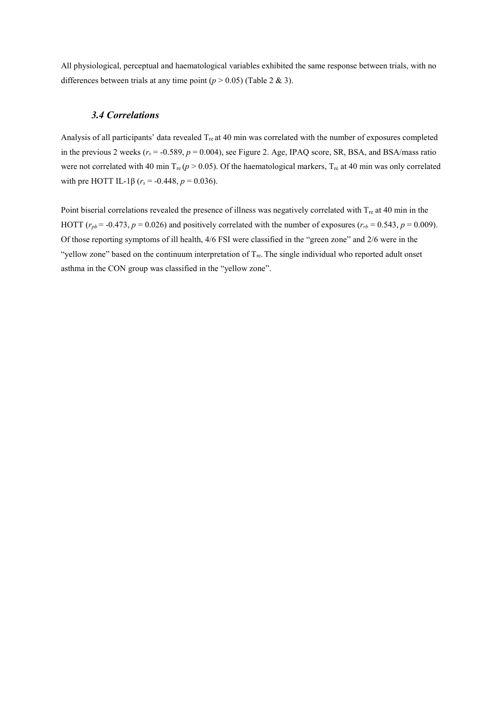All physiological, perceptual and haematological variables exhibited the same response between trials, with no differences between trials at any time point  $(p > 0.05)$  (Table 2 & 3).

### *3.4 Correlations*

Analysis of all participants' data revealed  $T_{\text{re}}$  at 40 min was correlated with the number of exposures completed in the previous 2 weeks  $(r_s = -0.589, p = 0.004)$ , see Figure 2. Age, IPAQ score, SR, BSA, and BSA/mass ratio were not correlated with 40 min  $T_{re}$  ( $p > 0.05$ ). Of the haematological markers,  $T_{re}$  at 40 min was only correlated with pre HOTT IL-1 $\beta$  ( $r_s$  = -0.448,  $p = 0.036$ ).

Point biserial correlations revealed the presence of illness was negatively correlated with T<sub>re</sub> at 40 min in the HOTT  $(r_{pb} = -0.473, p = 0.026)$  and positively correlated with the number of exposures  $(r_{rb} = 0.543, p = 0.009)$ . Of those reporting symptoms of ill health, 4/6 FSI were classified in the "green zone" and 2/6 were in the "yellow zone" based on the continuum interpretation of  $T_{re}$ . The single individual who reported adult onset asthma in the CON group was classified in the "yellow zone".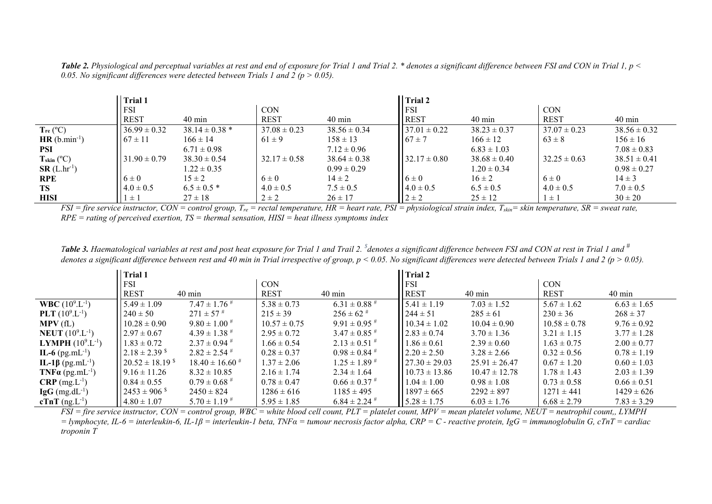| <b>Table 2.</b> Physiological and perceptual variables at rest and end of exposure for Trial 1 and Trial 2. * denotes a significant difference between FSI and CON in Trial 1, $p <$ |  |
|--------------------------------------------------------------------------------------------------------------------------------------------------------------------------------------|--|
| 0.05. No significant differences were detected between Trials 1 and 2 ( $p > 0.05$ ).                                                                                                |  |

|                       | <b>Trial 1</b>   |                    |                  |                  | Trial 2           |                  |                  |                  |
|-----------------------|------------------|--------------------|------------------|------------------|-------------------|------------------|------------------|------------------|
|                       | <b>FSI</b>       |                    | <b>CON</b>       |                  | FSI               |                  | <b>CON</b>       |                  |
|                       | <b>REST</b>      | $40 \text{ min}$   | <b>REST</b>      | $40 \text{ min}$ | <b>REST</b>       | 40 min           | <b>REST</b>      | $40 \text{ min}$ |
| $T_{re} (^{\circ}C)$  | $36.99 \pm 0.32$ | $38.14 \pm 0.38$ * | $37.08 \pm 0.23$ | $38.56 \pm 0.34$ | $37.01 \pm 0.22$  | $38.23 \pm 0.37$ | $37.07 \pm 0.23$ | $38.56 \pm 0.32$ |
| $HR(b.min^{-1})$      | $67 \pm 11$      | $166 \pm 14$       | $61 \pm 9$       | $158 \pm 13$     | $67 \pm 7$        | $166 \pm 12$     | $63 \pm 8$       | $156 \pm 16$     |
| <b>PSI</b>            |                  | $6.71 \pm 0.98$    |                  | $7.12 \pm 0.96$  |                   | $6.83 \pm 1.03$  |                  | $7.08 \pm 0.83$  |
| $T_{skin}$ (°C)       | $31.90 \pm 0.79$ | $38.30 \pm 0.54$   | $32.17 \pm 0.58$ | $38.64 \pm 0.38$ | $132.17 \pm 0.80$ | $38.68 \pm 0.40$ | $32.25 \pm 0.63$ | $38.51 \pm 0.41$ |
| $SR(L \cdot hr^{-1})$ |                  | $1.22 \pm 0.35$    |                  | $0.99 \pm 0.29$  |                   | $1.20 \pm 0.34$  |                  | $0.98 \pm 0.27$  |
| <b>RPE</b>            | $6 \pm 0$        | $15 \pm 2$         | $6 \pm 0$        | $14 \pm 2$       | $6 \pm 0$         | $16 \pm 2$       | $6 \pm 0$        | $14 \pm 3$       |
| <b>TS</b>             | $4.0 \pm 0.5$    | $6.5 \pm 0.5$ *    | $4.0 \pm 0.5$    | $7.5 \pm 0.5$    | $4.0 \pm 0.5$     | $6.5 \pm 0.5$    | $4.0 \pm 0.5$    | $7.0 \pm 0.5$    |
| <b>HISI</b>           | $1 \pm 1$        | $27 \pm 18$        | $2 \pm 2$        | $26 \pm 17$      | $2 \pm 2$         | $25 \pm 12$      | $1 \pm 1$        | $30 \pm 20$      |

*FSI* = fire service instructor, *CON* = control group,  $T_{re}$  = rectal temperature,  $HR$  = heart rate,  $PSI$  = physiological strain index,  $T_{skin}$  = skin temperature,  $SR$  = sweat rate, *RPE = rating of perceived exertion, TS = thermal sensation, HISI = heat illness symptoms index* 

*Table 3. Haematological variables at rest and post heat exposure for Trial 1 and Trail 2. \$ denotes a significant difference between FSI and CON at rest in Trial 1 and # denotes a significant difference between rest and 40 min in Trial irrespective of group, p < 0.05. No significant differences were detected between Trials 1 and 2 (p > 0.05).*

|                                     | Trial 1                         |                              |                  |                              | <b>Trial 2</b>     |                   |                  |                  |
|-------------------------------------|---------------------------------|------------------------------|------------------|------------------------------|--------------------|-------------------|------------------|------------------|
|                                     | <b>FSI</b>                      |                              | <b>CON</b>       |                              | <b>FSI</b>         |                   | <b>CON</b>       |                  |
|                                     | <b>REST</b>                     | $40 \text{ min}$             | <b>REST</b>      | $40 \text{ min}$             | <b>REST</b>        | $40 \text{ min}$  | <b>REST</b>      | $40 \text{ min}$ |
| <b>WBC</b> $(10^9 \text{L}^{-1})$   | $5.49 \pm 1.09$                 | $7.47 \pm 1.76$ <sup>#</sup> | $5.38 \pm 0.73$  | $6.31 \pm 0.88$ <sup>#</sup> | $5.41 \pm 1.19$    | $7.03 \pm 1.52$   | $5.67 \pm 1.62$  | $6.63 \pm 1.65$  |
| <b>PLT</b> $(10^9 \text{L}^{-1})$   | $240 \pm 50$                    | $271 \pm 57$ #               | $215 \pm 39$     | $256 \pm 62$ #               | $244 \pm 51$       | $285 \pm 61$      | $230 \pm 36$     | $268 \pm 37$     |
| MPV(fL)                             | $10.28 \pm 0.90$                | $9.80 \pm 1.00$ #            | $10.57 \pm 0.75$ | $9.91 \pm 0.95$ <sup>#</sup> | $10.34 \pm 1.02$   | $10.04 \pm 0.90$  | $10.58 \pm 0.78$ | $9.76 \pm 0.92$  |
| <b>NEUT</b> $(10^9 \text{L}^{-1})$  | $2.97 \pm 0.67$                 | $4.39 \pm 1.38$ <sup>#</sup> | $2.95 \pm 0.72$  | $3.47 \pm 0.85$ <sup>#</sup> | $2.83 \pm 0.74$    | $3.70 \pm 1.36$   | $3.21 \pm 1.15$  | $3.77 \pm 1.28$  |
| <b>LYMPH</b> $(10^9 \text{L}^{-1})$ | $1.83 \pm 0.72$                 | $2.37 \pm 0.94$ <sup>#</sup> | $1.66 \pm 0.54$  | $2.13 \pm 0.51$ #            | $1.86 \pm 0.61$    | $2.39 \pm 0.60$   | $1.63 \pm 0.75$  | $2.00 \pm 0.77$  |
| <b>IL-6</b> (pg.mL <sup>-1</sup> )  | $12.18 \pm 2.39$ <sup>\$</sup>  | $2.82 \pm 2.54$ #            | $0.28 \pm 0.37$  | $0.98 \pm 0.84$ #            | $2.20 \pm 2.50$    | $3.28 \pm 2.66$   | $0.32 \pm 0.56$  | $0.78 \pm 1.19$  |
| IL-1β (pg.mL <sup>-1</sup> )        | $20.52 \pm 18.19$ <sup>\$</sup> | $18.40 \pm 16.60^{\text{#}}$ | $1.37 \pm 2.06$  | $1.25 \pm 1.89$ <sup>#</sup> | $127.30 \pm 29.03$ | $25.91 \pm 26.47$ | $0.67 \pm 1.20$  | $0.60 \pm 1.03$  |
| <b>TNFa</b> (pg.mL <sup>-1</sup> )  | $9.16 \pm 11.26$                | $8.32 \pm 10.85$             | $2.16 \pm 1.74$  | $2.34 \pm 1.64$              | $10.73 \pm 13.86$  | $10.47 \pm 12.78$ | $1.78 \pm 1.43$  | $2.03 \pm 1.39$  |
| $CRP$ (mg.L <sup>-1</sup> )         | $0.84 \pm 0.55$                 | $0.79 \pm 0.68$ <sup>#</sup> | $0.78 \pm 0.47$  | $0.66 \pm 0.37$ #            | $1.04 \pm 1.00$    | $0.98 \pm 1.08$   | $0.73 \pm 0.58$  | $0.66 \pm 0.51$  |
| $\lg G$ (mg.dL <sup>-1</sup> )      | $2453 \pm 906$ <sup>\$</sup>    | $2450 \pm 824$               | $1286 \pm 616$   | $1185 \pm 495$               | $1897 \pm 665$     | $2292 \pm 897$    | $1271 \pm 441$   | $1429 \pm 626$   |
| cTnT $(ng.L^{-1})$                  | $4.80 \pm 1.07$                 | $5.70 \pm 1.19$ #            | $5.95 \pm 1.85$  | $6.84 \pm 2.24$              | $5.28 \pm 1.75$    | $6.03 \pm 1.76$   | $6.68 \pm 2.79$  | $7.83 \pm 3.29$  |

*FSI = fire service instructor, CON = control group, WBC = white blood cell count, PLT = platelet count, MPV = mean platelet volume, NEUT = neutrophil count,, LYMPH = lymphocyte, IL-6 = interleukin-6, IL-1β = interleukin-1 beta, TNFα = tumour necrosis factor alpha, CRP = C - reactive protein, IgG = immunoglobulin G, cTnT = cardiac troponin T*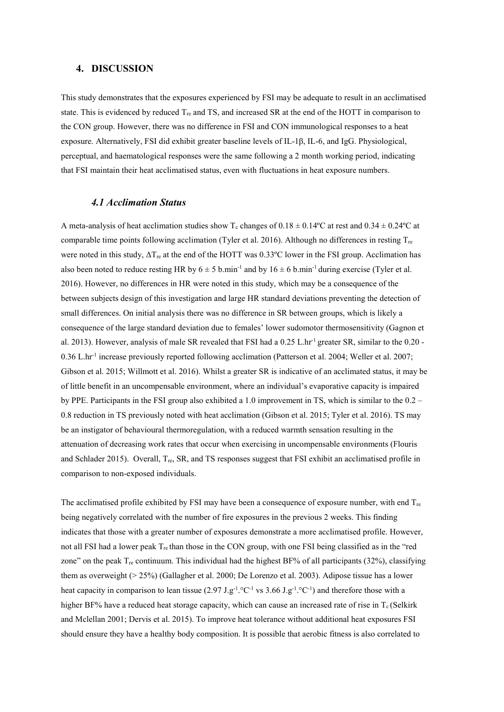#### **4. DISCUSSION**

This study demonstrates that the exposures experienced by FSI may be adequate to result in an acclimatised state. This is evidenced by reduced  $T_{\text{re}}$  and TS, and increased SR at the end of the HOTT in comparison to the CON group. However, there was no difference in FSI and CON immunological responses to a heat exposure. Alternatively, FSI did exhibit greater baseline levels of IL-1β, IL-6, and IgG. Physiological, perceptual, and haematological responses were the same following a 2 month working period, indicating that FSI maintain their heat acclimatised status, even with fluctuations in heat exposure numbers.

### *4.1 Acclimation Status*

A meta-analysis of heat acclimation studies show T<sub>c</sub> changes of  $0.18 \pm 0.14$ <sup>o</sup>C at rest and  $0.34 \pm 0.24$ <sup>o</sup>C at comparable time points following acclimation (Tyler et al. 2016). Although no differences in resting  $T_{\text{re}}$ were noted in this study,  $\Delta T_{\text{re}}$  at the end of the HOTT was 0.33°C lower in the FSI group. Acclimation has also been noted to reduce resting HR by  $6 \pm 5$  b.min<sup>-1</sup> and by  $16 \pm 6$  b.min<sup>-1</sup> during exercise (Tyler et al. 2016). However, no differences in HR were noted in this study, which may be a consequence of the between subjects design of this investigation and large HR standard deviations preventing the detection of small differences. On initial analysis there was no difference in SR between groups, which is likely a consequence of the large standard deviation due to females' lower sudomotor thermosensitivity (Gagnon et al. 2013). However, analysis of male SR revealed that FSI had a 0.25 L.hr<sup>-1</sup> greater SR, similar to the 0.20 -0.36 L.hr-1 increase previously reported following acclimation (Patterson et al. 2004; Weller et al. 2007; Gibson et al. 2015; Willmott et al. 2016). Whilst a greater SR is indicative of an acclimated status, it may be of little benefit in an uncompensable environment, where an individual's evaporative capacity is impaired by PPE. Participants in the FSI group also exhibited a 1.0 improvement in TS, which is similar to the 0.2 – 0.8 reduction in TS previously noted with heat acclimation (Gibson et al. 2015; Tyler et al. 2016). TS may be an instigator of behavioural thermoregulation, with a reduced warmth sensation resulting in the attenuation of decreasing work rates that occur when exercising in uncompensable environments (Flouris and Schlader 2015). Overall, T<sub>re</sub>, SR, and TS responses suggest that FSI exhibit an acclimatised profile in comparison to non-exposed individuals.

The acclimatised profile exhibited by FSI may have been a consequence of exposure number, with end  $T_{re}$ being negatively correlated with the number of fire exposures in the previous 2 weeks. This finding indicates that those with a greater number of exposures demonstrate a more acclimatised profile. However, not all FSI had a lower peak T<sub>re</sub> than those in the CON group, with one FSI being classified as in the "red zone" on the peak  $T_{\text{re}}$  continuum. This individual had the highest BF% of all participants (32%), classifying them as overweight (> 25%) (Gallagher et al. 2000; De Lorenzo et al. 2003). Adipose tissue has a lower heat capacity in comparison to lean tissue  $(2.97 \text{ J} \cdot g^{-1} \cdot ^\circ \text{C}^{-1} \text{ vs } 3.66 \text{ J} \cdot g^{-1} \cdot ^\circ \text{C}^{-1})$  and therefore those with a higher BF% have a reduced heat storage capacity, which can cause an increased rate of rise in  $T_c$  (Selkirk and Mclellan 2001; Dervis et al. 2015). To improve heat tolerance without additional heat exposures FSI should ensure they have a healthy body composition. It is possible that aerobic fitness is also correlated to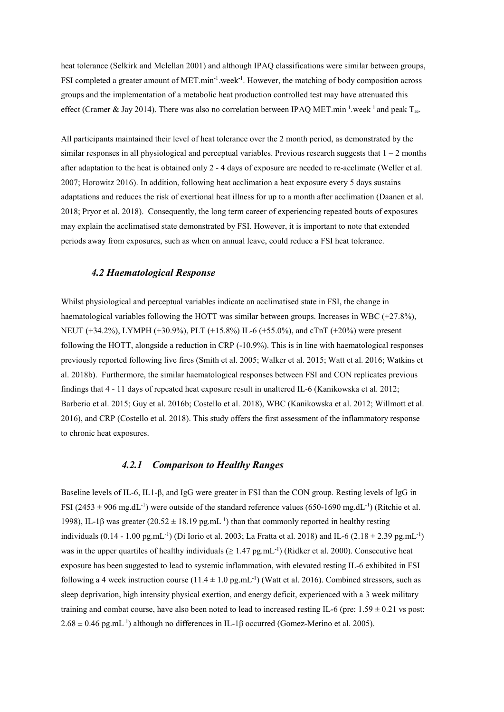heat tolerance (Selkirk and Mclellan 2001) and although IPAQ classifications were similar between groups, FSI completed a greater amount of MET.min<sup>-1</sup>.week<sup>-1</sup>. However, the matching of body composition across groups and the implementation of a metabolic heat production controlled test may have attenuated this effect (Cramer & Jay 2014). There was also no correlation between IPAQ MET.min<sup>-1</sup>.week<sup>-1</sup> and peak  $T_{re}$ .

All participants maintained their level of heat tolerance over the 2 month period, as demonstrated by the similar responses in all physiological and perceptual variables. Previous research suggests that  $1 - 2$  months after adaptation to the heat is obtained only 2 - 4 days of exposure are needed to re-acclimate (Weller et al. 2007; Horowitz 2016). In addition, following heat acclimation a heat exposure every 5 days sustains adaptations and reduces the risk of exertional heat illness for up to a month after acclimation (Daanen et al. 2018; Pryor et al. 2018). Consequently, the long term career of experiencing repeated bouts of exposures may explain the acclimatised state demonstrated by FSI. However, it is important to note that extended periods away from exposures, such as when on annual leave, could reduce a FSI heat tolerance.

### *4.2 Haematological Response*

Whilst physiological and perceptual variables indicate an acclimatised state in FSI, the change in haematological variables following the HOTT was similar between groups. Increases in WBC (+27.8%), NEUT (+34.2%), LYMPH (+30.9%), PLT (+15.8%) IL-6 (+55.0%), and cTnT (+20%) were present following the HOTT, alongside a reduction in CRP (-10.9%). This is in line with haematological responses previously reported following live fires (Smith et al. 2005; Walker et al. 2015; Watt et al. 2016; Watkins et al. 2018b). Furthermore, the similar haematological responses between FSI and CON replicates previous findings that 4 - 11 days of repeated heat exposure result in unaltered IL-6 (Kanikowska et al. 2012; Barberio et al. 2015; Guy et al. 2016b; Costello et al. 2018), WBC (Kanikowska et al. 2012; Willmott et al. 2016), and CRP (Costello et al. 2018). This study offers the first assessment of the inflammatory response to chronic heat exposures.

#### *4.2.1 Comparison to Healthy Ranges*

Baseline levels of IL-6, IL1-β, and IgG were greater in FSI than the CON group. Resting levels of IgG in FSI (2453  $\pm$  906 mg.dL<sup>-1</sup>) were outside of the standard reference values (650-1690 mg.dL<sup>-1</sup>) (Ritchie et al. 1998), IL-1β was greater (20.52  $\pm$  18.19 pg.mL<sup>-1</sup>) than that commonly reported in healthy resting individuals  $(0.14 - 1.00 \text{ pg.mL}^{-1})$  (Di Iorio et al. 2003; La Fratta et al. 2018) and IL-6  $(2.18 \pm 2.39 \text{ pg.mL}^{-1})$ was in the upper quartiles of healthy individuals ( $\geq 1.47$  pg.mL<sup>-1</sup>) (Ridker et al. 2000). Consecutive heat exposure has been suggested to lead to systemic inflammation, with elevated resting IL-6 exhibited in FSI following a 4 week instruction course  $(11.4 \pm 1.0 \text{ pg.mL}^{-1})$  (Watt et al. 2016). Combined stressors, such as sleep deprivation, high intensity physical exertion, and energy deficit, experienced with a 3 week military training and combat course, have also been noted to lead to increased resting IL-6 (pre:  $1.59 \pm 0.21$  vs post:  $2.68 \pm 0.46$  pg.mL<sup>-1</sup>) although no differences in IL-1 $\beta$  occurred (Gomez-Merino et al. 2005).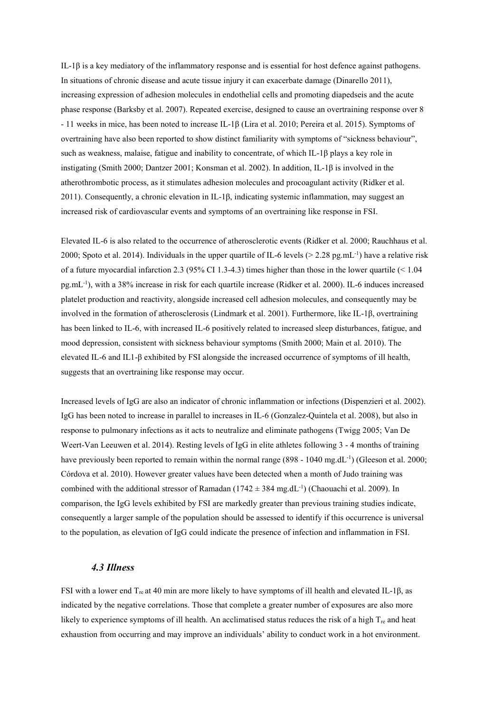IL-1β is a key mediatory of the inflammatory response and is essential for host defence against pathogens. In situations of chronic disease and acute tissue injury it can exacerbate damage (Dinarello 2011), increasing expression of adhesion molecules in endothelial cells and promoting diapedseis and the acute phase response (Barksby et al. 2007). Repeated exercise, designed to cause an overtraining response over 8 - 11 weeks in mice, has been noted to increase IL-1β (Lira et al. 2010; Pereira et al. 2015). Symptoms of overtraining have also been reported to show distinct familiarity with symptoms of "sickness behaviour", such as weakness, malaise, fatigue and inability to concentrate, of which IL-1β plays a key role in instigating (Smith 2000; Dantzer 2001; Konsman et al. 2002). In addition, IL-1β is involved in the atherothrombotic process, as it stimulates adhesion molecules and procoagulant activity (Ridker et al. 2011). Consequently, a chronic elevation in IL-1β, indicating systemic inflammation, may suggest an increased risk of cardiovascular events and symptoms of an overtraining like response in FSI.

Elevated IL-6 is also related to the occurrence of atherosclerotic events (Ridker et al. 2000; Rauchhaus et al. 2000; Spoto et al. 2014). Individuals in the upper quartile of IL-6 levels ( $> 2.28$  pg.mL<sup>-1</sup>) have a relative risk of a future myocardial infarction 2.3 (95% CI 1.3-4.3) times higher than those in the lower quartile (< 1.04 pg.mL-1 ), with a 38% increase in risk for each quartile increase (Ridker et al. 2000). IL-6 induces increased platelet production and reactivity, alongside increased cell adhesion molecules, and consequently may be involved in the formation of atherosclerosis (Lindmark et al. 2001). Furthermore, like IL-1β, overtraining has been linked to IL-6, with increased IL-6 positively related to increased sleep disturbances, fatigue, and mood depression, consistent with sickness behaviour symptoms (Smith 2000; Main et al. 2010). The elevated IL-6 and IL1-β exhibited by FSI alongside the increased occurrence of symptoms of ill health, suggests that an overtraining like response may occur.

Increased levels of IgG are also an indicator of chronic inflammation or infections (Dispenzieri et al. 2002). IgG has been noted to increase in parallel to increases in IL-6 (Gonzalez-Quintela et al. 2008), but also in response to pulmonary infections as it acts to neutralize and eliminate pathogens (Twigg 2005; Van De Weert-Van Leeuwen et al. 2014). Resting levels of IgG in elite athletes following 3 - 4 months of training have previously been reported to remain within the normal range  $(898 - 1040 \text{ mg.dL}^{-1})$  (Gleeson et al. 2000; Córdova et al. 2010). However greater values have been detected when a month of Judo training was combined with the additional stressor of Ramadan  $(1742 \pm 384 \text{ mg}.dL^{-1})$  (Chaouachi et al. 2009). In comparison, the IgG levels exhibited by FSI are markedly greater than previous training studies indicate, consequently a larger sample of the population should be assessed to identify if this occurrence is universal to the population, as elevation of IgG could indicate the presence of infection and inflammation in FSI.

#### *4.3 Illness*

FSI with a lower end Tre at 40 min are more likely to have symptoms of ill health and elevated IL-1β, as indicated by the negative correlations. Those that complete a greater number of exposures are also more likely to experience symptoms of ill health. An acclimatised status reduces the risk of a high  $T_{re}$  and heat exhaustion from occurring and may improve an individuals' ability to conduct work in a hot environment.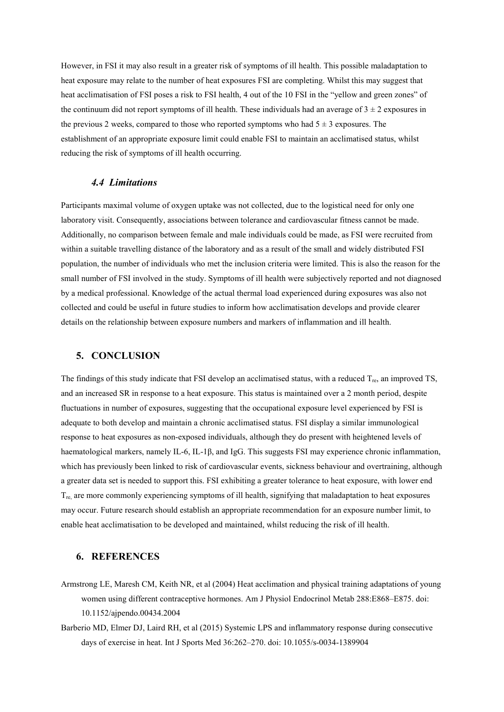However, in FSI it may also result in a greater risk of symptoms of ill health. This possible maladaptation to heat exposure may relate to the number of heat exposures FSI are completing. Whilst this may suggest that heat acclimatisation of FSI poses a risk to FSI health, 4 out of the 10 FSI in the "yellow and green zones" of the continuum did not report symptoms of ill health. These individuals had an average of  $3 \pm 2$  exposures in the previous 2 weeks, compared to those who reported symptoms who had  $5 \pm 3$  exposures. The establishment of an appropriate exposure limit could enable FSI to maintain an acclimatised status, whilst reducing the risk of symptoms of ill health occurring.

# *4.4 Limitations*

Participants maximal volume of oxygen uptake was not collected, due to the logistical need for only one laboratory visit. Consequently, associations between tolerance and cardiovascular fitness cannot be made. Additionally, no comparison between female and male individuals could be made, as FSI were recruited from within a suitable travelling distance of the laboratory and as a result of the small and widely distributed FSI population, the number of individuals who met the inclusion criteria were limited. This is also the reason for the small number of FSI involved in the study. Symptoms of ill health were subjectively reported and not diagnosed by a medical professional. Knowledge of the actual thermal load experienced during exposures was also not collected and could be useful in future studies to inform how acclimatisation develops and provide clearer details on the relationship between exposure numbers and markers of inflammation and ill health.

#### **5. CONCLUSION**

The findings of this study indicate that FSI develop an acclimatised status, with a reduced  $T_{\text{re}}$ , an improved TS, and an increased SR in response to a heat exposure. This status is maintained over a 2 month period, despite fluctuations in number of exposures, suggesting that the occupational exposure level experienced by FSI is adequate to both develop and maintain a chronic acclimatised status. FSI display a similar immunological response to heat exposures as non-exposed individuals, although they do present with heightened levels of haematological markers, namely IL-6, IL-1β, and IgG. This suggests FSI may experience chronic inflammation, which has previously been linked to risk of cardiovascular events, sickness behaviour and overtraining, although a greater data set is needed to support this. FSI exhibiting a greater tolerance to heat exposure, with lower end T<sub>re,</sub> are more commonly experiencing symptoms of ill health, signifying that maladaptation to heat exposures may occur. Future research should establish an appropriate recommendation for an exposure number limit, to enable heat acclimatisation to be developed and maintained, whilst reducing the risk of ill health.

### **6. REFERENCES**

- Armstrong LE, Maresh CM, Keith NR, et al (2004) Heat acclimation and physical training adaptations of young women using different contraceptive hormones. Am J Physiol Endocrinol Metab 288:E868–E875. doi: 10.1152/ajpendo.00434.2004
- Barberio MD, Elmer DJ, Laird RH, et al (2015) Systemic LPS and inflammatory response during consecutive days of exercise in heat. Int J Sports Med 36:262–270. doi: 10.1055/s-0034-1389904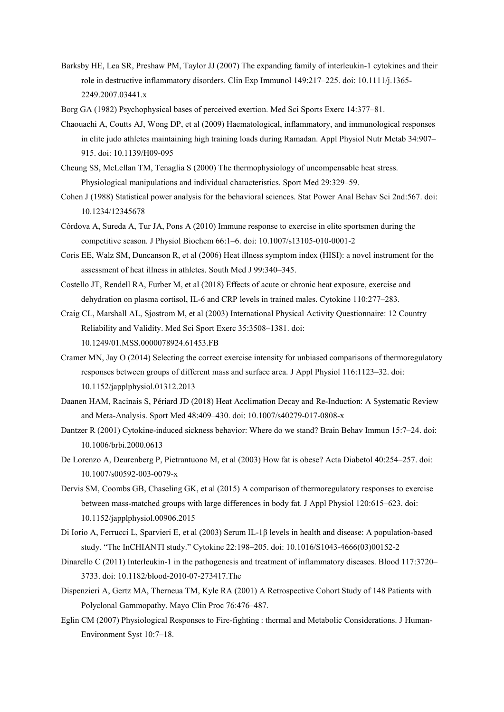- Barksby HE, Lea SR, Preshaw PM, Taylor JJ (2007) The expanding family of interleukin-1 cytokines and their role in destructive inflammatory disorders. Clin Exp Immunol 149:217–225. doi: 10.1111/j.1365- 2249.2007.03441.x
- Borg GA (1982) Psychophysical bases of perceived exertion. Med Sci Sports Exerc 14:377–81.
- Chaouachi A, Coutts AJ, Wong DP, et al (2009) Haematological, inflammatory, and immunological responses in elite judo athletes maintaining high training loads during Ramadan. Appl Physiol Nutr Metab 34:907– 915. doi: 10.1139/H09-095
- Cheung SS, McLellan TM, Tenaglia S (2000) The thermophysiology of uncompensable heat stress. Physiological manipulations and individual characteristics. Sport Med 29:329–59.
- Cohen J (1988) Statistical power analysis for the behavioral sciences. Stat Power Anal Behav Sci 2nd:567. doi: 10.1234/12345678
- Córdova A, Sureda A, Tur JA, Pons A (2010) Immune response to exercise in elite sportsmen during the competitive season. J Physiol Biochem 66:1–6. doi: 10.1007/s13105-010-0001-2
- Coris EE, Walz SM, Duncanson R, et al (2006) Heat illness symptom index (HISI): a novel instrument for the assessment of heat illness in athletes. South Med J 99:340–345.
- Costello JT, Rendell RA, Furber M, et al (2018) Effects of acute or chronic heat exposure, exercise and dehydration on plasma cortisol, IL-6 and CRP levels in trained males. Cytokine 110:277–283.
- Craig CL, Marshall AL, Sjostrom M, et al (2003) International Physical Activity Questionnaire: 12 Country Reliability and Validity. Med Sci Sport Exerc 35:3508–1381. doi: 10.1249/01.MSS.0000078924.61453.FB
- Cramer MN, Jay O (2014) Selecting the correct exercise intensity for unbiased comparisons of thermoregulatory responses between groups of different mass and surface area. J Appl Physiol 116:1123–32. doi: 10.1152/japplphysiol.01312.2013
- Daanen HAM, Racinais S, Périard JD (2018) Heat Acclimation Decay and Re-Induction: A Systematic Review and Meta-Analysis. Sport Med 48:409–430. doi: 10.1007/s40279-017-0808-x
- Dantzer R (2001) Cytokine-induced sickness behavior: Where do we stand? Brain Behav Immun 15:7–24. doi: 10.1006/brbi.2000.0613
- De Lorenzo A, Deurenberg P, Pietrantuono M, et al (2003) How fat is obese? Acta Diabetol 40:254–257. doi: 10.1007/s00592-003-0079-x
- Dervis SM, Coombs GB, Chaseling GK, et al (2015) A comparison of thermoregulatory responses to exercise between mass-matched groups with large differences in body fat. J Appl Physiol 120:615–623. doi: 10.1152/japplphysiol.00906.2015
- Di Iorio A, Ferrucci L, Sparvieri E, et al (2003) Serum IL-1β levels in health and disease: A population-based study. "The InCHIANTI study." Cytokine 22:198–205. doi: 10.1016/S1043-4666(03)00152-2
- Dinarello C (2011) Interleukin-1 in the pathogenesis and treatment of inflammatory diseases. Blood 117:3720– 3733. doi: 10.1182/blood-2010-07-273417.The
- Dispenzieri A, Gertz MA, Therneua TM, Kyle RA (2001) A Retrospective Cohort Study of 148 Patients with Polyclonal Gammopathy. Mayo Clin Proc 76:476–487.
- Eglin CM (2007) Physiological Responses to Fire-fighting : thermal and Metabolic Considerations. J Human-Environment Syst 10:7–18.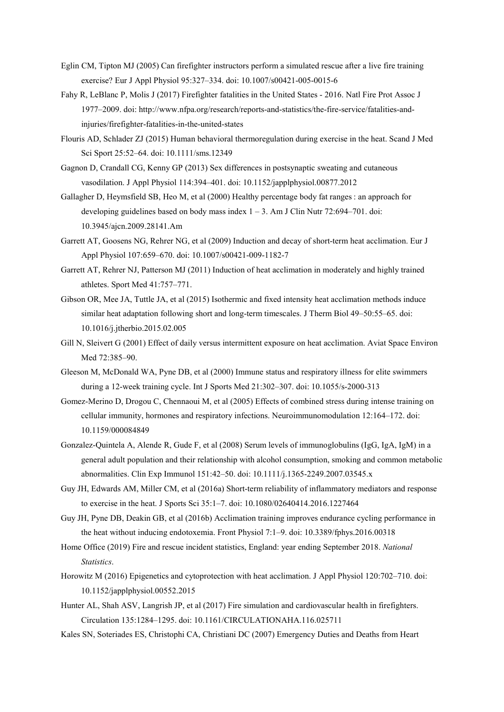- Eglin CM, Tipton MJ (2005) Can firefighter instructors perform a simulated rescue after a live fire training exercise? Eur J Appl Physiol 95:327–334. doi: 10.1007/s00421-005-0015-6
- Fahy R, LeBlanc P, Molis J (2017) Firefighter fatalities in the United States 2016. Natl Fire Prot Assoc J 1977–2009. doi: http://www.nfpa.org/research/reports-and-statistics/the-fire-service/fatalities-andinjuries/firefighter-fatalities-in-the-united-states
- Flouris AD, Schlader ZJ (2015) Human behavioral thermoregulation during exercise in the heat. Scand J Med Sci Sport 25:52–64. doi: 10.1111/sms.12349
- Gagnon D, Crandall CG, Kenny GP (2013) Sex differences in postsynaptic sweating and cutaneous vasodilation. J Appl Physiol 114:394–401. doi: 10.1152/japplphysiol.00877.2012
- Gallagher D, Heymsfield SB, Heo M, et al (2000) Healthy percentage body fat ranges : an approach for developing guidelines based on body mass index  $1 - 3$ . Am J Clin Nutr 72:694–701. doi: 10.3945/ajcn.2009.28141.Am
- Garrett AT, Goosens NG, Rehrer NG, et al (2009) Induction and decay of short-term heat acclimation. Eur J Appl Physiol 107:659–670. doi: 10.1007/s00421-009-1182-7
- Garrett AT, Rehrer NJ, Patterson MJ (2011) Induction of heat acclimation in moderately and highly trained athletes. Sport Med 41:757–771.
- Gibson OR, Mee JA, Tuttle JA, et al (2015) Isothermic and fixed intensity heat acclimation methods induce similar heat adaptation following short and long-term timescales. J Therm Biol 49–50:55–65. doi: 10.1016/j.jtherbio.2015.02.005
- Gill N, Sleivert G (2001) Effect of daily versus intermittent exposure on heat acclimation. Aviat Space Environ Med 72:385–90.
- Gleeson M, McDonald WA, Pyne DB, et al (2000) Immune status and respiratory illness for elite swimmers during a 12-week training cycle. Int J Sports Med 21:302–307. doi: 10.1055/s-2000-313
- Gomez-Merino D, Drogou C, Chennaoui M, et al (2005) Effects of combined stress during intense training on cellular immunity, hormones and respiratory infections. Neuroimmunomodulation 12:164–172. doi: 10.1159/000084849
- Gonzalez-Quintela A, Alende R, Gude F, et al (2008) Serum levels of immunoglobulins (IgG, IgA, IgM) in a general adult population and their relationship with alcohol consumption, smoking and common metabolic abnormalities. Clin Exp Immunol 151:42–50. doi: 10.1111/j.1365-2249.2007.03545.x
- Guy JH, Edwards AM, Miller CM, et al (2016a) Short-term reliability of inflammatory mediators and response to exercise in the heat. J Sports Sci 35:1–7. doi: 10.1080/02640414.2016.1227464
- Guy JH, Pyne DB, Deakin GB, et al (2016b) Acclimation training improves endurance cycling performance in the heat without inducing endotoxemia. Front Physiol 7:1–9. doi: 10.3389/fphys.2016.00318
- Home Office (2019) Fire and rescue incident statistics, England: year ending September 2018. *National Statistics*.
- Horowitz M (2016) Epigenetics and cytoprotection with heat acclimation. J Appl Physiol 120:702–710. doi: 10.1152/japplphysiol.00552.2015
- Hunter AL, Shah ASV, Langrish JP, et al (2017) Fire simulation and cardiovascular health in firefighters. Circulation 135:1284–1295. doi: 10.1161/CIRCULATIONAHA.116.025711
- Kales SN, Soteriades ES, Christophi CA, Christiani DC (2007) Emergency Duties and Deaths from Heart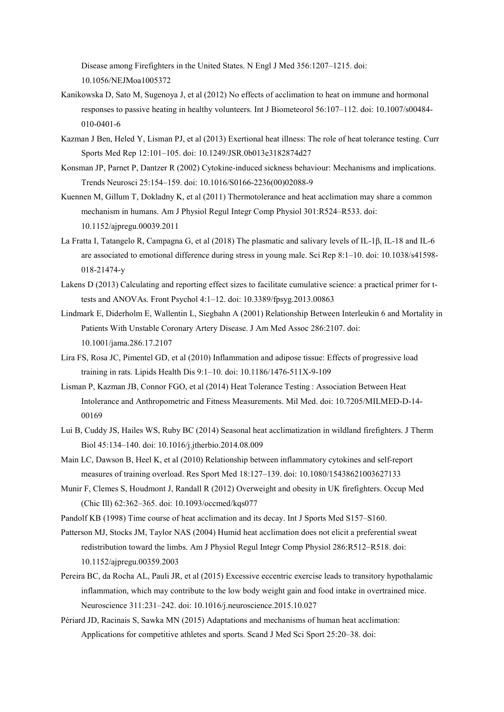Disease among Firefighters in the United States. N Engl J Med 356:1207–1215. doi: 10.1056/NEJMoa1005372

- Kanikowska D, Sato M, Sugenoya J, et al (2012) No effects of acclimation to heat on immune and hormonal responses to passive heating in healthy volunteers. Int J Biometeorol 56:107–112. doi: 10.1007/s00484- 010-0401-6
- Kazman J Ben, Heled Y, Lisman PJ, et al (2013) Exertional heat illness: The role of heat tolerance testing. Curr Sports Med Rep 12:101–105. doi: 10.1249/JSR.0b013e3182874d27
- Konsman JP, Parnet P, Dantzer R (2002) Cytokine-induced sickness behaviour: Mechanisms and implications. Trends Neurosci 25:154–159. doi: 10.1016/S0166-2236(00)02088-9
- Kuennen M, Gillum T, Dokladny K, et al (2011) Thermotolerance and heat acclimation may share a common mechanism in humans. Am J Physiol Regul Integr Comp Physiol 301:R524–R533. doi: 10.1152/ajpregu.00039.2011
- La Fratta I, Tatangelo R, Campagna G, et al (2018) The plasmatic and salivary levels of IL-1β, IL-18 and IL-6 are associated to emotional difference during stress in young male. Sci Rep 8:1–10. doi: 10.1038/s41598- 018-21474-y
- Lakens D (2013) Calculating and reporting effect sizes to facilitate cumulative science: a practical primer for ttests and ANOVAs. Front Psychol 4:1–12. doi: 10.3389/fpsyg.2013.00863
- Lindmark E, Diderholm E, Wallentin L, Siegbahn A (2001) Relationship Between Interleukin 6 and Mortality in Patients With Unstable Coronary Artery Disease. J Am Med Assoc 286:2107. doi: 10.1001/jama.286.17.2107
- Lira FS, Rosa JC, Pimentel GD, et al (2010) Inflammation and adipose tissue: Effects of progressive load training in rats. Lipids Health Dis 9:1–10. doi: 10.1186/1476-511X-9-109
- Lisman P, Kazman JB, Connor FGO, et al (2014) Heat Tolerance Testing : Association Between Heat Intolerance and Anthropometric and Fitness Measurements. Mil Med. doi: 10.7205/MILMED-D-14- 00169
- Lui B, Cuddy JS, Hailes WS, Ruby BC (2014) Seasonal heat acclimatization in wildland firefighters. J Therm Biol 45:134–140. doi: 10.1016/j.jtherbio.2014.08.009
- Main LC, Dawson B, Heel K, et al (2010) Relationship between inflammatory cytokines and self-report measures of training overload. Res Sport Med 18:127–139. doi: 10.1080/15438621003627133
- Munir F, Clemes S, Houdmont J, Randall R (2012) Overweight and obesity in UK firefighters. Occup Med (Chic Ill) 62:362–365. doi: 10.1093/occmed/kqs077
- Pandolf KB (1998) Time course of heat acclimation and its decay. Int J Sports Med S157–S160.
- Patterson MJ, Stocks JM, Taylor NAS (2004) Humid heat acclimation does not elicit a preferential sweat redistribution toward the limbs. Am J Physiol Regul Integr Comp Physiol 286:R512–R518. doi: 10.1152/ajpregu.00359.2003
- Pereira BC, da Rocha AL, Pauli JR, et al (2015) Excessive eccentric exercise leads to transitory hypothalamic inflammation, which may contribute to the low body weight gain and food intake in overtrained mice. Neuroscience 311:231–242. doi: 10.1016/j.neuroscience.2015.10.027
- Périard JD, Racinais S, Sawka MN (2015) Adaptations and mechanisms of human heat acclimation: Applications for competitive athletes and sports. Scand J Med Sci Sport 25:20–38. doi: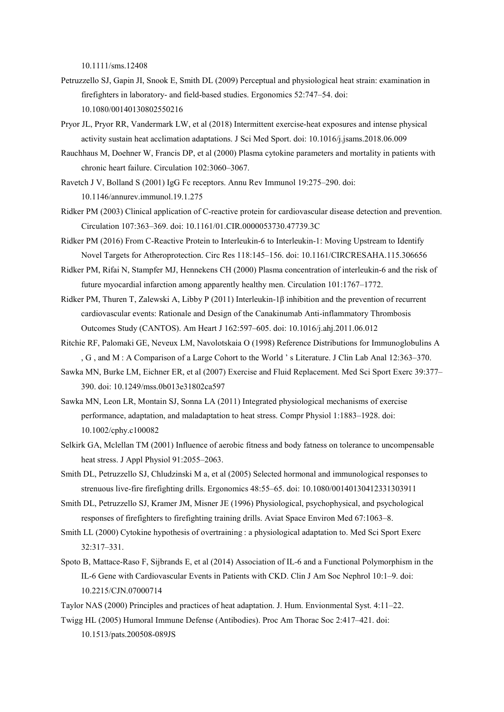10.1111/sms.12408

- Petruzzello SJ, Gapin JI, Snook E, Smith DL (2009) Perceptual and physiological heat strain: examination in firefighters in laboratory- and field-based studies. Ergonomics 52:747–54. doi: 10.1080/00140130802550216
- Pryor JL, Pryor RR, Vandermark LW, et al (2018) Intermittent exercise-heat exposures and intense physical activity sustain heat acclimation adaptations. J Sci Med Sport. doi: 10.1016/j.jsams.2018.06.009
- Rauchhaus M, Doehner W, Francis DP, et al (2000) Plasma cytokine parameters and mortality in patients with chronic heart failure. Circulation 102:3060–3067.
- Ravetch J V, Bolland S (2001) IgG Fc receptors. Annu Rev Immunol 19:275–290. doi: 10.1146/annurev.immunol.19.1.275
- Ridker PM (2003) Clinical application of C-reactive protein for cardiovascular disease detection and prevention. Circulation 107:363–369. doi: 10.1161/01.CIR.0000053730.47739.3C
- Ridker PM (2016) From C-Reactive Protein to Interleukin-6 to Interleukin-1: Moving Upstream to Identify Novel Targets for Atheroprotection. Circ Res 118:145–156. doi: 10.1161/CIRCRESAHA.115.306656
- Ridker PM, Rifai N, Stampfer MJ, Hennekens CH (2000) Plasma concentration of interleukin-6 and the risk of future myocardial infarction among apparently healthy men. Circulation 101:1767–1772.
- Ridker PM, Thuren T, Zalewski A, Libby P (2011) Interleukin-1β inhibition and the prevention of recurrent cardiovascular events: Rationale and Design of the Canakinumab Anti-inflammatory Thrombosis Outcomes Study (CANTOS). Am Heart J 162:597–605. doi: 10.1016/j.ahj.2011.06.012
- Ritchie RF, Palomaki GE, Neveux LM, Navolotskaia O (1998) Reference Distributions for Immunoglobulins A , G , and M : A Comparison of a Large Cohort to the World ' s Literature. J Clin Lab Anal 12:363–370.
- Sawka MN, Burke LM, Eichner ER, et al (2007) Exercise and Fluid Replacement. Med Sci Sport Exerc 39:377– 390. doi: 10.1249/mss.0b013e31802ca597
- Sawka MN, Leon LR, Montain SJ, Sonna LA (2011) Integrated physiological mechanisms of exercise performance, adaptation, and maladaptation to heat stress. Compr Physiol 1:1883–1928. doi: 10.1002/cphy.c100082
- Selkirk GA, Mclellan TM (2001) Influence of aerobic fitness and body fatness on tolerance to uncompensable heat stress. J Appl Physiol 91:2055–2063.
- Smith DL, Petruzzello SJ, Chludzinski M a, et al (2005) Selected hormonal and immunological responses to strenuous live-fire firefighting drills. Ergonomics 48:55–65. doi: 10.1080/00140130412331303911
- Smith DL, Petruzzello SJ, Kramer JM, Misner JE (1996) Physiological, psychophysical, and psychological responses of firefighters to firefighting training drills. Aviat Space Environ Med 67:1063–8.
- Smith LL (2000) Cytokine hypothesis of overtraining : a physiological adaptation to. Med Sci Sport Exerc 32:317–331.
- Spoto B, Mattace-Raso F, Sijbrands E, et al (2014) Association of IL-6 and a Functional Polymorphism in the IL-6 Gene with Cardiovascular Events in Patients with CKD. Clin J Am Soc Nephrol 10:1–9. doi: 10.2215/CJN.07000714
- Taylor NAS (2000) Principles and practices of heat adaptation. J. Hum. Envionmental Syst. 4:11–22. Twigg HL (2005) Humoral Immune Defense (Antibodies). Proc Am Thorac Soc 2:417–421. doi:

10.1513/pats.200508-089JS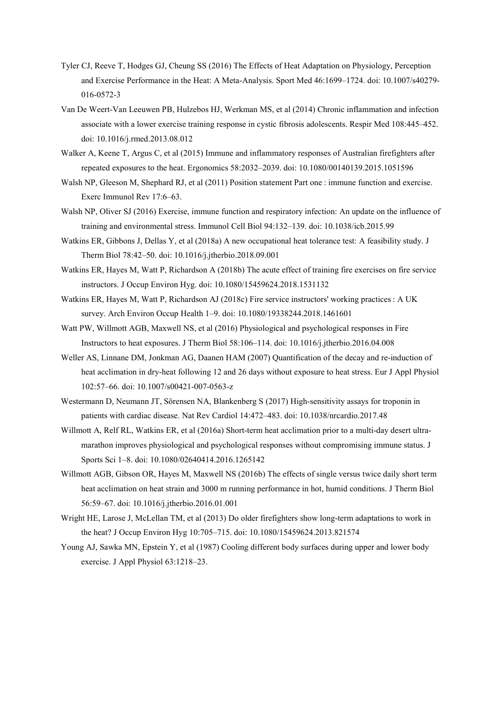- Tyler CJ, Reeve T, Hodges GJ, Cheung SS (2016) The Effects of Heat Adaptation on Physiology, Perception and Exercise Performance in the Heat: A Meta-Analysis. Sport Med 46:1699–1724. doi: 10.1007/s40279- 016-0572-3
- Van De Weert-Van Leeuwen PB, Hulzebos HJ, Werkman MS, et al (2014) Chronic inflammation and infection associate with a lower exercise training response in cystic fibrosis adolescents. Respir Med 108:445–452. doi: 10.1016/j.rmed.2013.08.012
- Walker A, Keene T, Argus C, et al (2015) Immune and inflammatory responses of Australian firefighters after repeated exposures to the heat. Ergonomics 58:2032–2039. doi: 10.1080/00140139.2015.1051596
- Walsh NP, Gleeson M, Shephard RJ, et al (2011) Position statement Part one : immune function and exercise. Exerc Immunol Rev 17:6–63.
- Walsh NP, Oliver SJ (2016) Exercise, immune function and respiratory infection: An update on the influence of training and environmental stress. Immunol Cell Biol 94:132–139. doi: 10.1038/icb.2015.99
- Watkins ER, Gibbons J, Dellas Y, et al (2018a) A new occupational heat tolerance test: A feasibility study. J Therm Biol 78:42–50. doi: 10.1016/j.jtherbio.2018.09.001
- Watkins ER, Hayes M, Watt P, Richardson A (2018b) The acute effect of training fire exercises on fire service instructors. J Occup Environ Hyg. doi: 10.1080/15459624.2018.1531132
- Watkins ER, Hayes M, Watt P, Richardson AJ (2018c) Fire service instructors' working practices : A UK survey. Arch Environ Occup Health 1–9. doi: 10.1080/19338244.2018.1461601
- Watt PW, Willmott AGB, Maxwell NS, et al (2016) Physiological and psychological responses in Fire Instructors to heat exposures. J Therm Biol 58:106–114. doi: 10.1016/j.jtherbio.2016.04.008
- Weller AS, Linnane DM, Jonkman AG, Daanen HAM (2007) Quantification of the decay and re-induction of heat acclimation in dry-heat following 12 and 26 days without exposure to heat stress. Eur J Appl Physiol 102:57–66. doi: 10.1007/s00421-007-0563-z
- Westermann D, Neumann JT, Sörensen NA, Blankenberg S (2017) High-sensitivity assays for troponin in patients with cardiac disease. Nat Rev Cardiol 14:472–483. doi: 10.1038/nrcardio.2017.48
- Willmott A, Relf RL, Watkins ER, et al (2016a) Short-term heat acclimation prior to a multi-day desert ultramarathon improves physiological and psychological responses without compromising immune status. J Sports Sci 1–8. doi: 10.1080/02640414.2016.1265142
- Willmott AGB, Gibson OR, Hayes M, Maxwell NS (2016b) The effects of single versus twice daily short term heat acclimation on heat strain and 3000 m running performance in hot, humid conditions. J Therm Biol 56:59–67. doi: 10.1016/j.jtherbio.2016.01.001
- Wright HE, Larose J, McLellan TM, et al (2013) Do older firefighters show long-term adaptations to work in the heat? J Occup Environ Hyg 10:705–715. doi: 10.1080/15459624.2013.821574
- Young AJ, Sawka MN, Epstein Y, et al (1987) Cooling different body surfaces during upper and lower body exercise. J Appl Physiol 63:1218–23.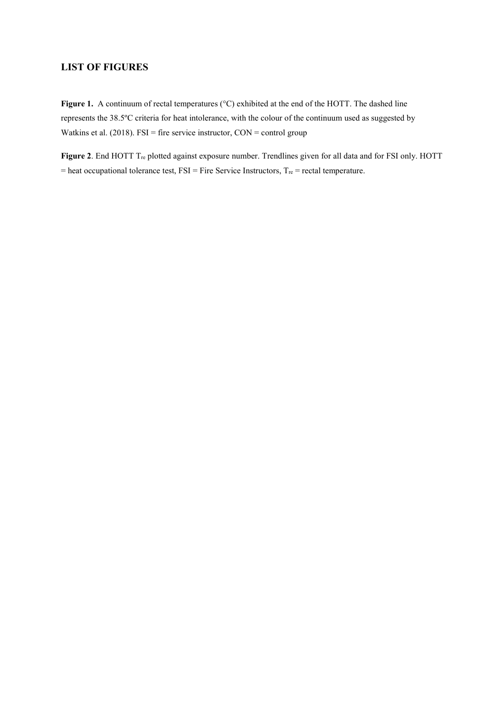# **LIST OF FIGURES**

Figure 1. A continuum of rectal temperatures (°C) exhibited at the end of the HOTT. The dashed line represents the 38.5ºC criteria for heat intolerance, with the colour of the continuum used as suggested by Watkins et al. (2018). FSI = fire service instructor, CON = control group

Figure 2. End HOTT T<sub>re</sub> plotted against exposure number. Trendlines given for all data and for FSI only. HOTT  $=$  heat occupational tolerance test,  $FSI = Fire$  Service Instructors,  $T_{re} =$  rectal temperature.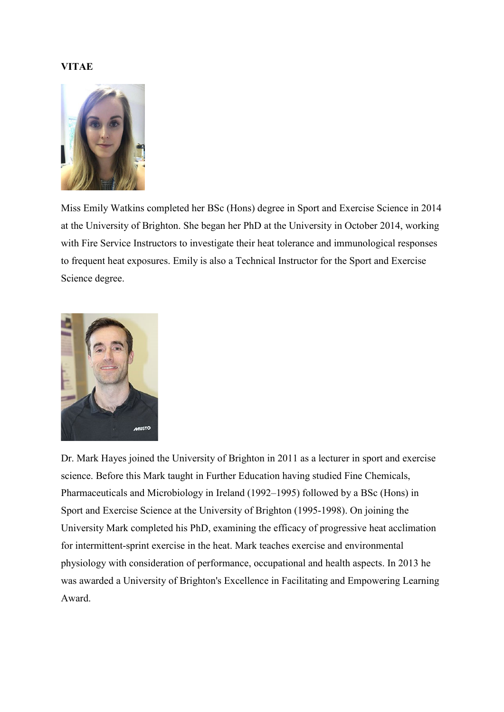# **VITAE**



Miss Emily Watkins completed her BSc (Hons) degree in Sport and Exercise Science in 2014 at the University of Brighton. She began her PhD at the University in October 2014, working with Fire Service Instructors to investigate their heat tolerance and immunological responses to frequent heat exposures. Emily is also a Technical Instructor for the Sport and Exercise Science degree.



Dr. Mark Hayes joined the University of Brighton in 2011 as a lecturer in sport and exercise science. Before this Mark taught in Further Education having studied Fine Chemicals, Pharmaceuticals and Microbiology in Ireland (1992–1995) followed by a BSc (Hons) in Sport and Exercise Science at the University of Brighton (1995-1998). On joining the University Mark completed his PhD, examining the efficacy of progressive heat acclimation for intermittent-sprint exercise in the heat. Mark teaches exercise and environmental physiology with consideration of performance, occupational and health aspects. In 2013 he was awarded a University of Brighton's Excellence in Facilitating and Empowering Learning Award.